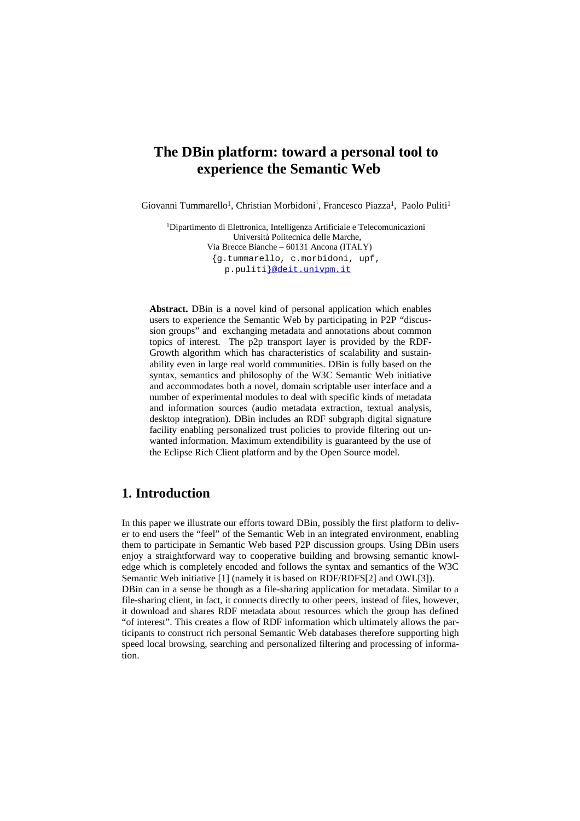# **The DBin platform: toward a personal tool to experience the Semantic Web**

Giovanni Tummarello<sup>1</sup>, Christian Morbidoni<sup>1</sup>, Francesco Piazza<sup>1</sup>, Paolo Puliti<sup>1</sup>

<sup>1</sup>Dipartimento di Elettronica, Intelligenza Artificiale e Telecomunicazioni Università Politecnica delle Marche, Via Brecce Bianche – 60131 Ancona (ITALY) {g.tummarello, c.morbidoni, upf, p.puliti}@deit.univpm.it

**Abstract.** DBin is a novel kind of personal application which enables users to experience the Semantic Web by participating in P2P "discussion groups" and exchanging metadata and annotations about common topics of interest. The p2p transport layer is provided by the RDF-Growth algorithm which has characteristics of scalability and sustainability even in large real world communities. DBin is fully based on the syntax, semantics and philosophy of the W3C Semantic Web initiative and accommodates both a novel, domain scriptable user interface and a number of experimental modules to deal with specific kinds of metadata and information sources (audio metadata extraction, textual analysis, desktop integration). DBin includes an RDF subgraph digital signature facility enabling personalized trust policies to provide filtering out unwanted information. Maximum extendibility is guaranteed by the use of the Eclipse Rich Client platform and by the Open Source model.

# **1. Introduction**

tion.

In this paper we illustrate our efforts toward DBin, possibly the first platform to deliver to end users the "feel" of the Semantic Web in an integrated environment, enabling them to participate in Semantic Web based P2P discussion groups. Using DBin users enjoy a straightforward way to cooperative building and browsing semantic knowledge which is completely encoded and follows the syntax and semantics of the W3C Semantic Web initiative [1] (namely it is based on RDF/RDFS[2] and OWL[3]). DBin can in a sense be though as a file-sharing application for metadata. Similar to a file-sharing client, in fact, it connects directly to other peers, instead of files, however, it download and shares RDF metadata about resources which the group has defined "of interest". This creates a flow of RDF information which ultimately allows the participants to construct rich personal Semantic Web databases therefore supporting high speed local browsing, searching and personalized filtering and processing of informa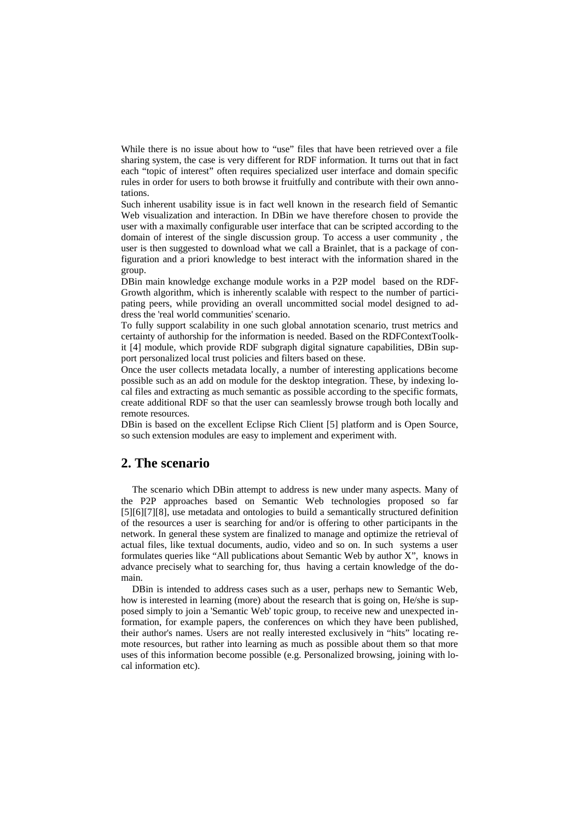While there is no issue about how to "use" files that have been retrieved over a file sharing system, the case is very different for RDF information. It turns out that in fact each "topic of interest" often requires specialized user interface and domain specific rules in order for users to both browse it fruitfully and contribute with their own annotations.

Such inherent usability issue is in fact well known in the research field of Semantic Web visualization and interaction. In DBin we have therefore chosen to provide the user with a maximally configurable user interface that can be scripted according to the domain of interest of the single discussion group. To access a user community , the user is then suggested to download what we call a Brainlet, that is a package of configuration and a priori knowledge to best interact with the information shared in the group.

DBin main knowledge exchange module works in a P2P model based on the RDF-Growth algorithm, which is inherently scalable with respect to the number of participating peers, while providing an overall uncommitted social model designed to address the 'real world communities' scenario.

To fully support scalability in one such global annotation scenario, trust metrics and certainty of authorship for the information is needed. Based on the RDFContextToolkit [4] module, which provide RDF subgraph digital signature capabilities, DBin support personalized local trust policies and filters based on these.

Once the user collects metadata locally, a number of interesting applications become possible such as an add on module for the desktop integration. These, by indexing local files and extracting as much semantic as possible according to the specific formats, create additional RDF so that the user can seamlessly browse trough both locally and remote resources.

DBin is based on the excellent Eclipse Rich Client [5] platform and is Open Source, so such extension modules are easy to implement and experiment with.

### **2. The scenario**

The scenario which DBin attempt to address is new under many aspects. Many of the P2P approaches based on Semantic Web technologies proposed so far [5][6][7][8], use metadata and ontologies to build a semantically structured definition of the resources a user is searching for and/or is offering to other participants in the network. In general these system are finalized to manage and optimize the retrieval of actual files, like textual documents, audio, video and so on. In such systems a user formulates queries like "All publications about Semantic Web by author X", knows in advance precisely what to searching for, thus having a certain knowledge of the domain.

DBin is intended to address cases such as a user, perhaps new to Semantic Web, how is interested in learning (more) about the research that is going on, He/she is supposed simply to join a 'Semantic Web' topic group, to receive new and unexpected information, for example papers, the conferences on which they have been published, their author's names. Users are not really interested exclusively in "hits" locating remote resources, but rather into learning as much as possible about them so that more uses of this information become possible (e.g. Personalized browsing, joining with local information etc).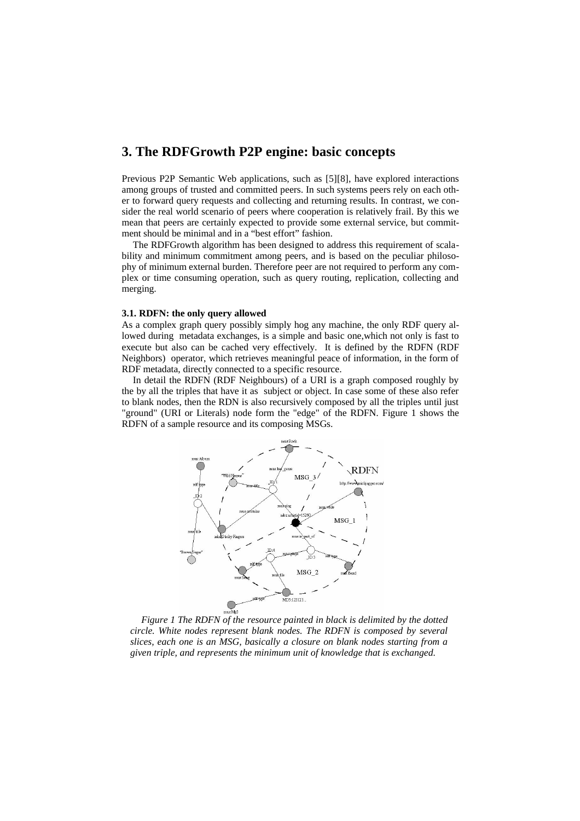### **3. The RDFGrowth P2P engine: basic concepts**

Previous P2P Semantic Web applications, such as [5][8], have explored interactions among groups of trusted and committed peers. In such systems peers rely on each other to forward query requests and collecting and returning results. In contrast, we consider the real world scenario of peers where cooperation is relatively frail. By this we mean that peers are certainly expected to provide some external service, but commitment should be minimal and in a "best effort" fashion.

The RDFGrowth algorithm has been designed to address this requirement of scalability and minimum commitment among peers, and is based on the peculiar philosophy of minimum external burden. Therefore peer are not required to perform any complex or time consuming operation, such as query routing, replication, collecting and merging.

#### **3.1. RDFN: the only query allowed**

As a complex graph query possibly simply hog any machine, the only RDF query allowed during metadata exchanges, is a simple and basic one,which not only is fast to execute but also can be cached very effectively. It is defined by the RDFN (RDF Neighbors) operator, which retrieves meaningful peace of information, in the form of RDF metadata, directly connected to a specific resource.

In detail the RDFN (RDF Neighbours) of a URI is a graph composed roughly by the by all the triples that have it as subject or object. In case some of these also refer to blank nodes, then the RDN is also recursively composed by all the triples until just "ground" (URI or Literals) node form the "edge" of the RDFN. [Figure](#page-2-0) 1 shows the RDFN of a sample resource and its composing MSGs.



<span id="page-2-0"></span>*Figure 1 The RDFN of the resource painted in black is delimited by the dotted circle. White nodes represent blank nodes. The RDFN is composed by several slices, each one is an MSG, basically a closure on blank nodes starting from a given triple, and represents the minimum unit of knowledge that is exchanged.*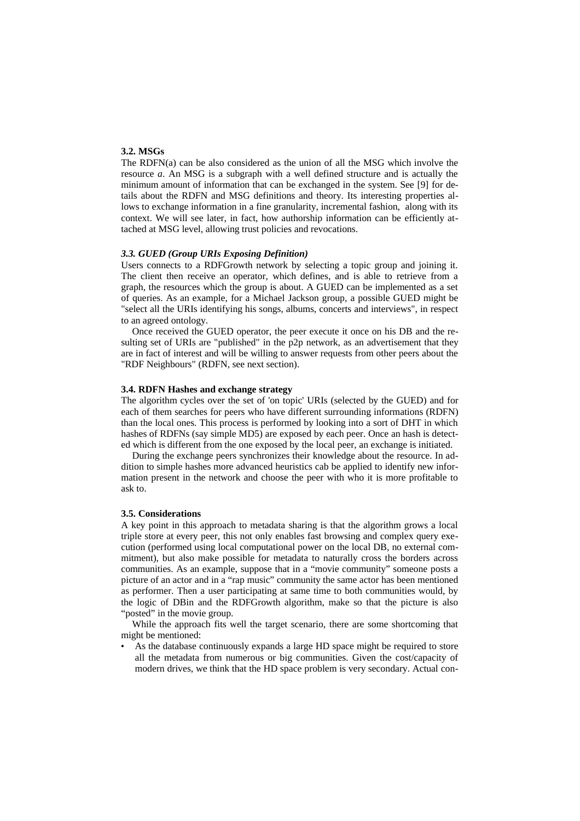#### **3.2. MSGs**

The RDFN(a) can be also considered as the union of all the MSG which involve the resource *a*. An MSG is a subgraph with a well defined structure and is actually the minimum amount of information that can be exchanged in the system. See [9] for details about the RDFN and MSG definitions and theory. Its interesting properties allows to exchange information in a fine granularity, incremental fashion, along with its context. We will see later, in fact, how authorship information can be efficiently attached at MSG level, allowing trust policies and revocations.

#### *3.3. GUED (Group URIs Exposing Definition)*

Users connects to a RDFGrowth network by selecting a topic group and joining it. The client then receive an operator, which defines, and is able to retrieve from a graph, the resources which the group is about. A GUED can be implemented as a set of queries. As an example, for a Michael Jackson group, a possible GUED might be "select all the URIs identifying his songs, albums, concerts and interviews", in respect to an agreed ontology.

Once received the GUED operator, the peer execute it once on his DB and the resulting set of URIs are "published" in the p2p network, as an advertisement that they are in fact of interest and will be willing to answer requests from other peers about the "RDF Neighbours" (RDFN, see next section).

#### **3.4. RDFN Hashes and exchange strategy**

The algorithm cycles over the set of 'on topic' URIs (selected by the GUED) and for each of them searches for peers who have different surrounding informations (RDFN) than the local ones. This process is performed by looking into a sort of DHT in which hashes of RDFNs (say simple MD5) are exposed by each peer. Once an hash is detected which is different from the one exposed by the local peer, an exchange is initiated.

During the exchange peers synchronizes their knowledge about the resource. In addition to simple hashes more advanced heuristics cab be applied to identify new information present in the network and choose the peer with who it is more profitable to ask to.

#### **3.5. Considerations**

A key point in this approach to metadata sharing is that the algorithm grows a local triple store at every peer, this not only enables fast browsing and complex query execution (performed using local computational power on the local DB, no external commitment), but also make possible for metadata to naturally cross the borders across communities. As an example, suppose that in a "movie community" someone posts a picture of an actor and in a "rap music" community the same actor has been mentioned as performer. Then a user participating at same time to both communities would, by the logic of DBin and the RDFGrowth algorithm, make so that the picture is also "posted" in the movie group.

While the approach fits well the target scenario, there are some shortcoming that might be mentioned:

As the database continuously expands a large HD space might be required to store all the metadata from numerous or big communities. Given the cost/capacity of modern drives, we think that the HD space problem is very secondary. Actual con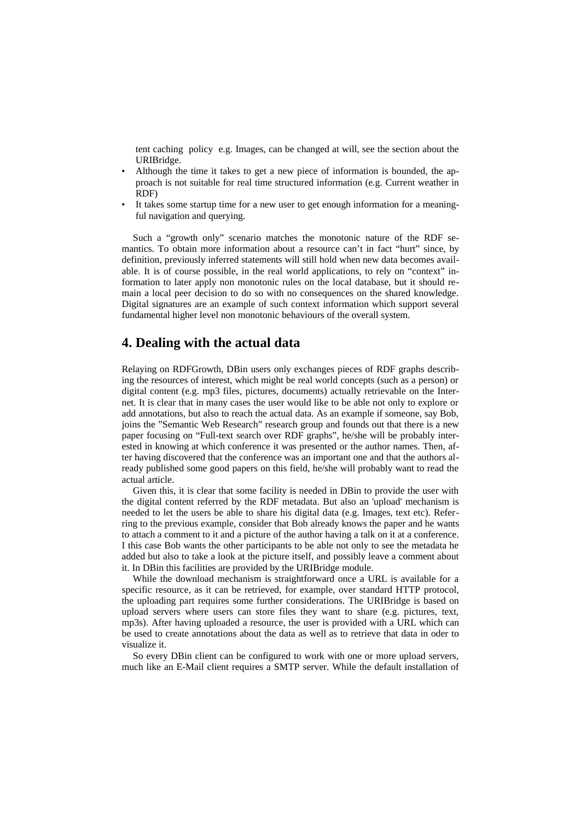tent caching policy e.g. Images, can be changed at will, see the section about the URIBridge.

- Although the time it takes to get a new piece of information is bounded, the approach is not suitable for real time structured information (e.g. Current weather in RDF)
- It takes some startup time for a new user to get enough information for a meaningful navigation and querying.

Such a "growth only" scenario matches the monotonic nature of the RDF semantics. To obtain more information about a resource can't in fact "hurt" since, by definition, previously inferred statements will still hold when new data becomes available. It is of course possible, in the real world applications, to rely on "context" information to later apply non monotonic rules on the local database, but it should remain a local peer decision to do so with no consequences on the shared knowledge. Digital signatures are an example of such context information which support several fundamental higher level non monotonic behaviours of the overall system.

### **4. Dealing with the actual data**

Relaying on RDFGrowth, DBin users only exchanges pieces of RDF graphs describing the resources of interest, which might be real world concepts (such as a person) or digital content (e.g. mp3 files, pictures, documents) actually retrievable on the Internet. It is clear that in many cases the user would like to be able not only to explore or add annotations, but also to reach the actual data. As an example if someone, say Bob, joins the "Semantic Web Research" research group and founds out that there is a new paper focusing on "Full-text search over RDF graphs", he/she will be probably interested in knowing at which conference it was presented or the author names. Then, after having discovered that the conference was an important one and that the authors already published some good papers on this field, he/she will probably want to read the actual article.

Given this, it is clear that some facility is needed in DBin to provide the user with the digital content referred by the RDF metadata. But also an 'upload' mechanism is needed to let the users be able to share his digital data (e.g. Images, text etc). Referring to the previous example, consider that Bob already knows the paper and he wants to attach a comment to it and a picture of the author having a talk on it at a conference. I this case Bob wants the other participants to be able not only to see the metadata he added but also to take a look at the picture itself, and possibly leave a comment about it. In DBin this facilities are provided by the URIBridge module.

While the download mechanism is straightforward once a URL is available for a specific resource, as it can be retrieved, for example, over standard HTTP protocol, the uploading part requires some further considerations. The URIBridge is based on upload servers where users can store files they want to share (e.g. pictures, text, mp3s). After having uploaded a resource, the user is provided with a URL which can be used to create annotations about the data as well as to retrieve that data in oder to visualize it.

So every DBin client can be configured to work with one or more upload servers, much like an E-Mail client requires a SMTP server. While the default installation of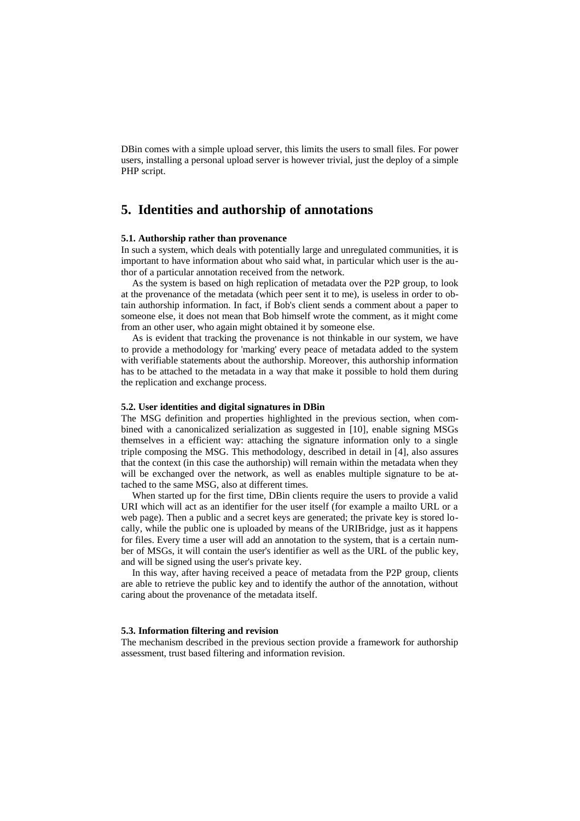DBin comes with a simple upload server, this limits the users to small files. For power users, installing a personal upload server is however trivial, just the deploy of a simple PHP script.

# **5. Identities and authorship of annotations**

#### **5.1. Authorship rather than provenance**

In such a system, which deals with potentially large and unregulated communities, it is important to have information about who said what, in particular which user is the author of a particular annotation received from the network.

As the system is based on high replication of metadata over the P2P group, to look at the provenance of the metadata (which peer sent it to me), is useless in order to obtain authorship information. In fact, if Bob's client sends a comment about a paper to someone else, it does not mean that Bob himself wrote the comment, as it might come from an other user, who again might obtained it by someone else.

As is evident that tracking the provenance is not thinkable in our system, we have to provide a methodology for 'marking' every peace of metadata added to the system with verifiable statements about the authorship. Moreover, this authorship information has to be attached to the metadata in a way that make it possible to hold them during the replication and exchange process.

#### **5.2. User identities and digital signatures in DBin**

The MSG definition and properties highlighted in the previous section, when combined with a canonicalized serialization as suggested in [10], enable signing MSGs themselves in a efficient way: attaching the signature information only to a single triple composing the MSG. This methodology, described in detail in [4], also assures that the context (in this case the authorship) will remain within the metadata when they will be exchanged over the network, as well as enables multiple signature to be attached to the same MSG, also at different times.

When started up for the first time, DBin clients require the users to provide a valid URI which will act as an identifier for the user itself (for example a mailto URL or a web page). Then a public and a secret keys are generated; the private key is stored locally, while the public one is uploaded by means of the URIBridge, just as it happens for files. Every time a user will add an annotation to the system, that is a certain number of MSGs, it will contain the user's identifier as well as the URL of the public key, and will be signed using the user's private key.

In this way, after having received a peace of metadata from the P2P group, clients are able to retrieve the public key and to identify the author of the annotation, without caring about the provenance of the metadata itself.

#### **5.3. Information filtering and revision**

The mechanism described in the previous section provide a framework for authorship assessment, trust based filtering and information revision.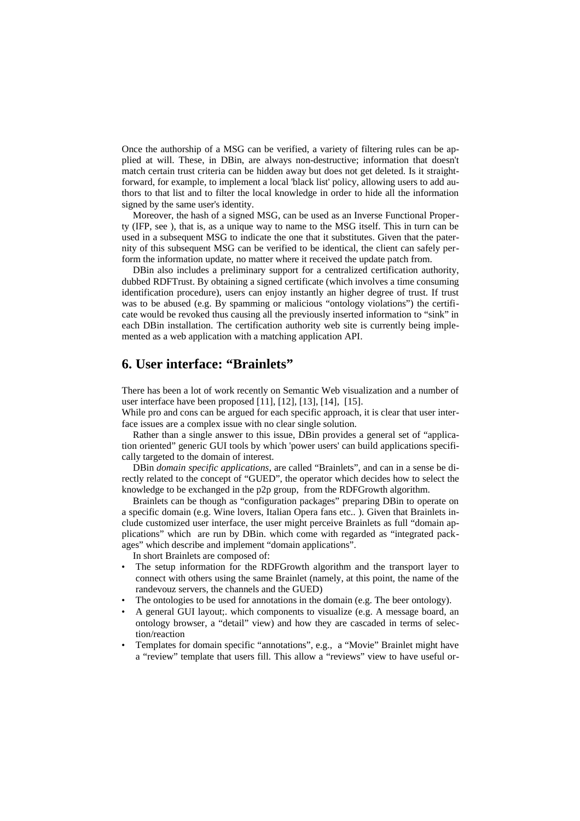Once the authorship of a MSG can be verified, a variety of filtering rules can be applied at will. These, in DBin, are always non-destructive; information that doesn't match certain trust criteria can be hidden away but does not get deleted. Is it straightforward, for example, to implement a local 'black list' policy, allowing users to add authors to that list and to filter the local knowledge in order to hide all the information signed by the same user's identity.

Moreover, the hash of a signed MSG, can be used as an Inverse Functional Property (IFP, see ), that is, as a unique way to name to the MSG itself. This in turn can be used in a subsequent MSG to indicate the one that it substitutes. Given that the paternity of this subsequent MSG can be verified to be identical, the client can safely perform the information update, no matter where it received the update patch from.

DBin also includes a preliminary support for a centralized certification authority, dubbed RDFTrust. By obtaining a signed certificate (which involves a time consuming identification procedure), users can enjoy instantly an higher degree of trust. If trust was to be abused (e.g. By spamming or malicious "ontology violations") the certificate would be revoked thus causing all the previously inserted information to "sink" in each DBin installation. The certification authority web site is currently being implemented as a web application with a matching application API.

# **6. User interface: "Brainlets"**

There has been a lot of work recently on Semantic Web visualization and a number of user interface have been proposed [11], [12], [13], [14], [15].

While pro and cons can be argued for each specific approach, it is clear that user interface issues are a complex issue with no clear single solution.

Rather than a single answer to this issue, DBin provides a general set of "application oriented" generic GUI tools by which 'power users' can build applications specifically targeted to the domain of interest.

DBin *domain specific applications*, are called "Brainlets", and can in a sense be directly related to the concept of "GUED", the operator which decides how to select the knowledge to be exchanged in the p2p group, from the RDFGrowth algorithm.

Brainlets can be though as "configuration packages" preparing DBin to operate on a specific domain (e.g. Wine lovers, Italian Opera fans etc.. ). Given that Brainlets include customized user interface, the user might perceive Brainlets as full "domain applications" which are run by DBin. which come with regarded as "integrated packages" which describe and implement "domain applications".

In short Brainlets are composed of:

- The setup information for the RDFGrowth algorithm and the transport layer to connect with others using the same Brainlet (namely, at this point, the name of the randevouz servers, the channels and the GUED)
- The ontologies to be used for annotations in the domain (e.g. The beer ontology).
- A general GUI layout;. which components to visualize (e.g. A message board, an ontology browser, a "detail" view) and how they are cascaded in terms of selection/reaction
- Templates for domain specific "annotations", e.g., a "Movie" Brainlet might have a "review" template that users fill. This allow a "reviews" view to have useful or-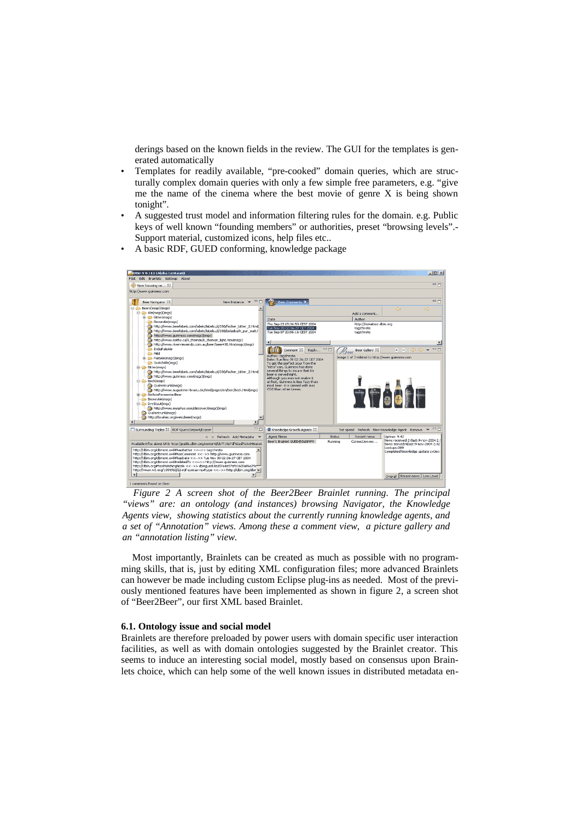derings based on the known fields in the review. The GUI for the templates is generated automatically

- Templates for readily available, "pre-cooked" domain queries, which are structurally complex domain queries with only a few simple free parameters, e.g. "give me the name of the cinema where the best movie of genre X is being shown tonight".
- A suggested trust model and information filtering rules for the domain. e.g. Public keys of well known "founding members" or authorities, preset "browsing levels".- Support material, customized icons, help files etc..
- A basic RDF, GUED conforming, knowledge package



*Figure 2 A screen shot of the Beer2Beer Brainlet running. The principal "views" are: an ontology (and instances) browsing Navigator, the Knowledge Agents view, showing statistics about the currently running knowledge agents, and a set of "Annotation" views. Among these a comment view, a picture gallery and an "annotation listing" view.*

<span id="page-7-0"></span>Most importantly, Brainlets can be created as much as possible with no programming skills, that is, just by editing XML configuration files; more advanced Brainlets can however be made including custom Eclipse plug-ins as needed. Most of the previously mentioned features have been implemented as shown in figure [2,](#page-7-0) a screen shot of "Beer2Beer", our first XML based Brainlet.

#### **6.1. Ontology issue and social model**

Brainlets are therefore preloaded by power users with domain specific user interaction facilities, as well as with domain ontologies suggested by the Brainlet creator. This seems to induce an interesting social model, mostly based on consensus upon Brainlets choice, which can help some of the well known issues in distributed metadata en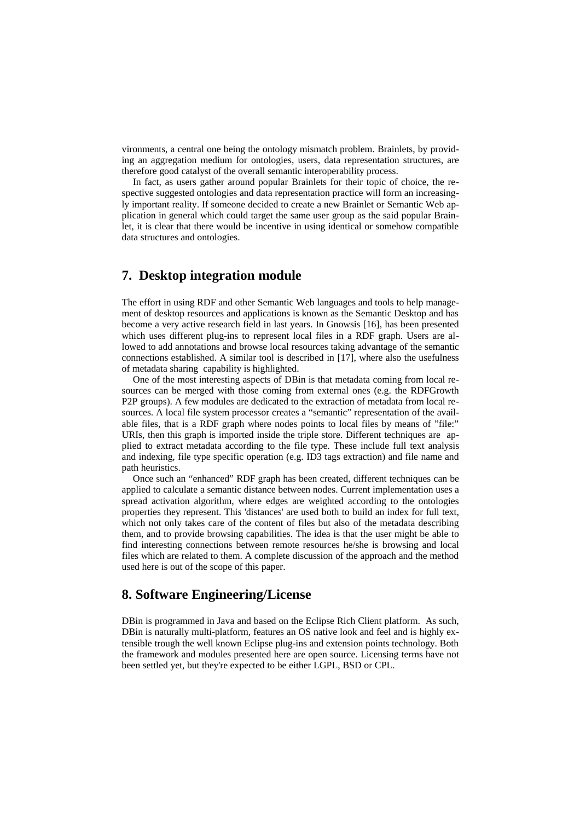vironments, a central one being the ontology mismatch problem. Brainlets, by providing an aggregation medium for ontologies, users, data representation structures, are therefore good catalyst of the overall semantic interoperability process.

In fact, as users gather around popular Brainlets for their topic of choice, the respective suggested ontologies and data representation practice will form an increasingly important reality. If someone decided to create a new Brainlet or Semantic Web application in general which could target the same user group as the said popular Brainlet, it is clear that there would be incentive in using identical or somehow compatible data structures and ontologies.

# **7. Desktop integration module**

The effort in using RDF and other Semantic Web languages and tools to help management of desktop resources and applications is known as the Semantic Desktop and has become a very active research field in last years. In Gnowsis [16], has been presented which uses different plug-ins to represent local files in a RDF graph. Users are allowed to add annotations and browse local resources taking advantage of the semantic connections established. A similar tool is described in [17], where also the usefulness of metadata sharing capability is highlighted.

One of the most interesting aspects of DBin is that metadata coming from local resources can be merged with those coming from external ones (e.g. the RDFGrowth P2P groups). A few modules are dedicated to the extraction of metadata from local resources. A local file system processor creates a "semantic" representation of the available files, that is a RDF graph where nodes points to local files by means of "file:" URIs, then this graph is imported inside the triple store. Different techniques are applied to extract metadata according to the file type. These include full text analysis and indexing, file type specific operation (e.g. ID3 tags extraction) and file name and path heuristics.

Once such an "enhanced" RDF graph has been created, different techniques can be applied to calculate a semantic distance between nodes. Current implementation uses a spread activation algorithm, where edges are weighted according to the ontologies properties they represent. This 'distances' are used both to build an index for full text, which not only takes care of the content of files but also of the metadata describing them, and to provide browsing capabilities. The idea is that the user might be able to find interesting connections between remote resources he/she is browsing and local files which are related to them. A complete discussion of the approach and the method used here is out of the scope of this paper.

### **8. Software Engineering/License**

DBin is programmed in Java and based on the Eclipse Rich Client platform. As such, DBin is naturally multi-platform, features an OS native look and feel and is highly extensible trough the well known Eclipse plug-ins and extension points technology. Both the framework and modules presented here are open source. Licensing terms have not been settled yet, but they're expected to be either LGPL, BSD or CPL.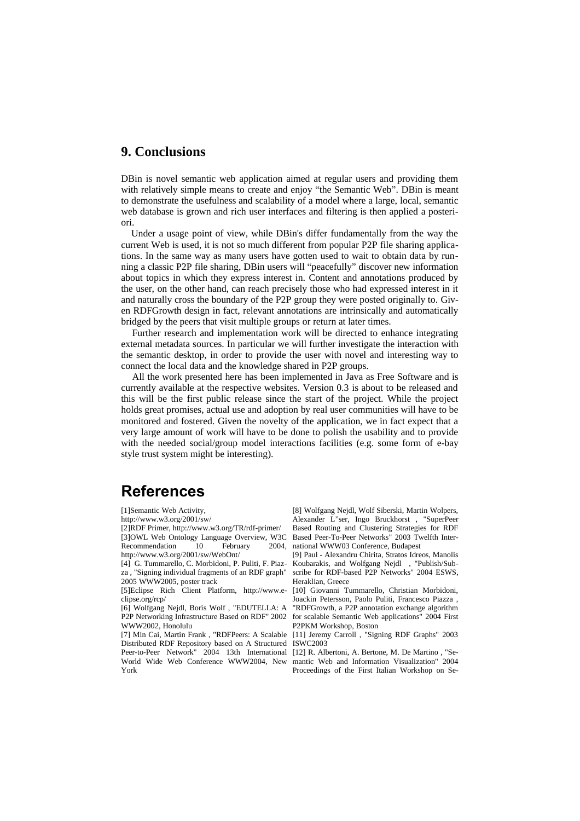### **9. Conclusions**

DBin is novel semantic web application aimed at regular users and providing them with relatively simple means to create and enjoy "the Semantic Web". DBin is meant to demonstrate the usefulness and scalability of a model where a large, local, semantic web database is grown and rich user interfaces and filtering is then applied a posteriori.

Under a usage point of view, while DBin's differ fundamentally from the way the current Web is used, it is not so much different from popular P2P file sharing applications. In the same way as many users have gotten used to wait to obtain data by running a classic P2P file sharing, DBin users will "peacefully" discover new information about topics in which they express interest in. Content and annotations produced by the user, on the other hand, can reach precisely those who had expressed interest in it and naturally cross the boundary of the P2P group they were posted originally to. Given RDFGrowth design in fact, relevant annotations are intrinsically and automatically bridged by the peers that visit multiple groups or return at later times.

Further research and implementation work will be directed to enhance integrating external metadata sources. In particular we will further investigate the interaction with the semantic desktop, in order to provide the user with novel and interesting way to connect the local data and the knowledge shared in P2P groups.

All the work presented here has been implemented in Java as Free Software and is currently available at the respective websites. Version 0.3 is about to be released and this will be the first public release since the start of the project. While the project holds great promises, actual use and adoption by real user communities will have to be monitored and fostered. Given the novelty of the application, we in fact expect that a very large amount of work will have to be done to polish the usability and to provide with the needed social/group model interactions facilities (e.g. some form of e-bay style trust system might be interesting).

# **References**

[1]Semantic Web Activity,

http://www.w3.org/2001/sw/

[2]RDF Primer, http://www.w3.org/TR/rdf-primer/ [3]OWL Web Ontology Language Overview, W3C Recommendation 10 February 2004, http://www.w3.org/2001/sw/WebOnt/

[4] G. Tummarello, C. Morbidoni, P. Puliti, F. Piazza , "Signing individual fragments of an RDF graph" 2005 WWW2005, poster track

[5]Eclipse Rich Client Platform, http://www.eclipse.org/rcp/

[6] Wolfgang Nejdl, Boris Wolf , "EDUTELLA: A P2P Networking Infrastructure Based on RDF" 2002 WWW2002, Honolulu

[7] Min Cai, Martin Frank , "RDFPeers: A Scalable Distributed RDF Repository based on A Structured Peer-to-Peer Network" 2004 13th International World Wide Web Conference WWW2004, New York

[8] Wolfgang Nejdl, Wolf Siberski, Martin Wolpers, Alexander L"ser, Ingo Bruckhorst , "SuperPeer Based Routing and Clustering Strategies for RDF Based Peer-To-Peer Networks" 2003 Twelfth International WWW03 Conference, Budapest

[9] Paul - Alexandru Chirita, Stratos Idreos, Manolis Koubarakis, and Wolfgang Nejdl , "Publish/Subscribe for RDF-based P2P Networks" 2004 ESWS. Heraklian, Greece

[10] Giovanni Tummarello, Christian Morbidoni, Joackin Petersson, Paolo Puliti, Francesco Piazza ,

"RDFGrowth, a P2P annotation exchange algorithm for scalable Semantic Web applications" 2004 First P2PKM Workshop, Boston

[11] Jeremy Carroll , "Signing RDF Graphs" 2003 ISWC2003

[12] R. Albertoni, A. Bertone, M. De Martino , "Semantic Web and Information Visualization" 2004 Proceedings of the First Italian Workshop on Se-